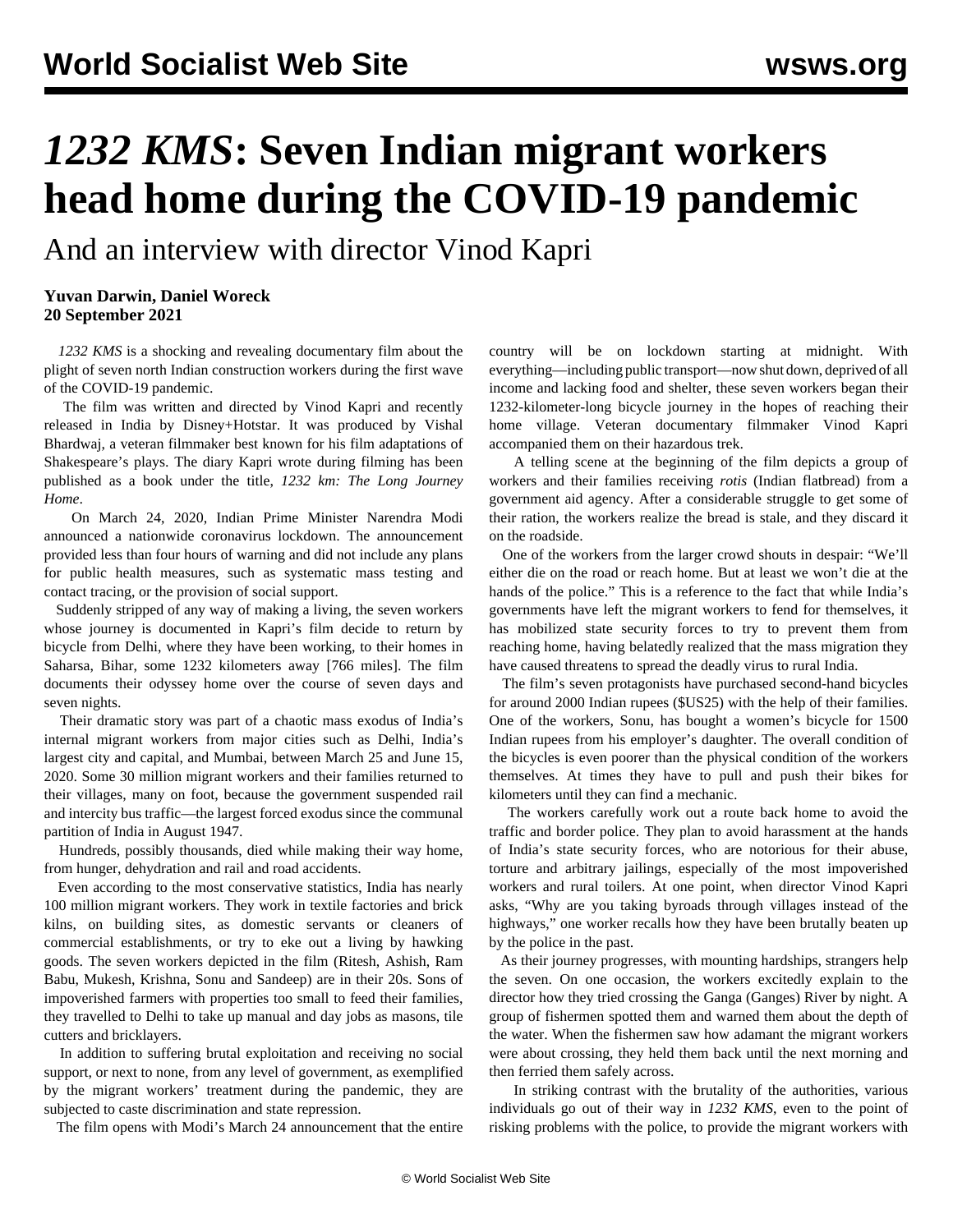## *1232 KMS***: Seven Indian migrant workers head home during the COVID-19 pandemic**

And an interview with director Vinod Kapri

## **Yuvan Darwin, Daniel Woreck 20 September 2021**

 *1232 KMS* is a shocking and revealing documentary film about the plight of seven north Indian construction workers during the first wave of the COVID-19 pandemic.

 The film was written and directed by Vinod Kapri and recently released in India by Disney+Hotstar. It was produced by Vishal Bhardwaj, a veteran filmmaker best known for his film adaptations of Shakespeare's plays. The diary Kapri wrote during filming has been published as a book under the title, *1232 km: The Long Journey Home*.

 On March 24, 2020, Indian Prime Minister Narendra Modi announced a nationwide coronavirus lockdown. The announcement provided less than four hours of warning and did not include any plans for public health measures, such as systematic mass testing and contact tracing, or the provision of social support.

 Suddenly stripped of any way of making a living, the seven workers whose journey is documented in Kapri's film decide to return by bicycle from Delhi, where they have been working, to their homes in Saharsa, Bihar, some 1232 kilometers away [766 miles]. The film documents their odyssey home over the course of seven days and seven nights.

 Their dramatic story was part of a chaotic mass exodus of India's internal migrant workers from major cities such as Delhi, India's largest city and capital, and Mumbai, between March 25 and June 15, 2020. Some 30 million migrant workers and their families returned to their villages, many on foot, because the government suspended rail and intercity bus traffic—the largest forced exodus since the communal partition of India in August 1947.

 Hundreds, possibly thousands, died while making their way home, from hunger, dehydration and rail and road accidents.

 Even according to the most conservative statistics, India has nearly 100 million migrant workers. They work in textile factories and brick kilns, on building sites, as domestic servants or cleaners of commercial establishments, or try to eke out a living by hawking goods. The seven workers depicted in the film (Ritesh, Ashish, Ram Babu, Mukesh, Krishna, Sonu and Sandeep) are in their 20s. Sons of impoverished farmers with properties too small to feed their families, they travelled to Delhi to take up manual and day jobs as masons, tile cutters and bricklayers.

 In addition to suffering brutal exploitation and receiving no social support, or next to none, from any level of government, as exemplified by the migrant workers' treatment during the pandemic, they are subjected to caste discrimination and state repression.

The film opens with Modi's March 24 announcement that the entire

country will be on lockdown starting at midnight. With everything—including public transport—now shut down, deprived of all income and lacking food and shelter, these seven workers began their 1232-kilometer-long bicycle journey in the hopes of reaching their home village. Veteran documentary filmmaker Vinod Kapri accompanied them on their hazardous trek.

 A telling scene at the beginning of the film depicts a group of workers and their families receiving *rotis* (Indian flatbread) from a government aid agency. After a considerable struggle to get some of their ration, the workers realize the bread is stale, and they discard it on the roadside.

 One of the workers from the larger crowd shouts in despair: "We'll either die on the road or reach home. But at least we won't die at the hands of the police." This is a reference to the fact that while India's governments have left the migrant workers to fend for themselves, it has mobilized state security forces to try to prevent them from reaching home, having belatedly realized that the mass migration they have caused threatens to spread the deadly virus to rural India.

 The film's seven protagonists have purchased second-hand bicycles for around 2000 Indian rupees (\$US25) with the help of their families. One of the workers, Sonu, has bought a women's bicycle for 1500 Indian rupees from his employer's daughter. The overall condition of the bicycles is even poorer than the physical condition of the workers themselves. At times they have to pull and push their bikes for kilometers until they can find a mechanic.

 The workers carefully work out a route back home to avoid the traffic and border police. They plan to avoid harassment at the hands of India's state security forces, who are notorious for their abuse, torture and arbitrary jailings, especially of the most impoverished workers and rural toilers. At one point, when director Vinod Kapri asks, "Why are you taking byroads through villages instead of the highways," one worker recalls how they have been brutally beaten up by the police in the past.

 As their journey progresses, with mounting hardships, strangers help the seven. On one occasion, the workers excitedly explain to the director how they tried crossing the Ganga (Ganges) River by night. A group of fishermen spotted them and warned them about the depth of the water. When the fishermen saw how adamant the migrant workers were about crossing, they held them back until the next morning and then ferried them safely across.

 In striking contrast with the brutality of the authorities, various individuals go out of their way in *1232 KMS*, even to the point of risking problems with the police, to provide the migrant workers with